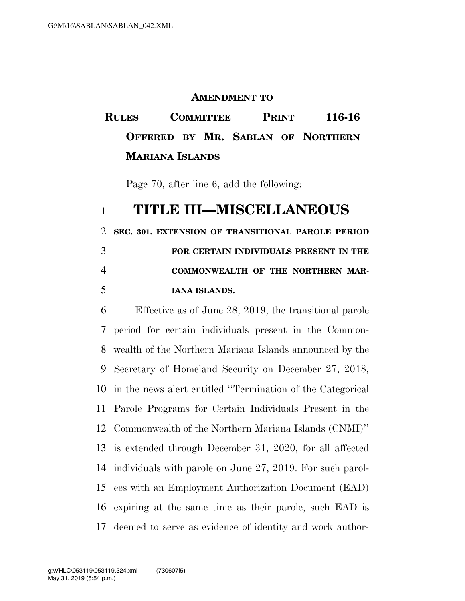## **AMENDMENT TO**

**RULES COMMITTEE PRINT 116-16 OFFERED BY MR. SABLAN OF NORTHERN MARIANA ISLANDS**

Page 70, after line 6, add the following:

## **TITLE III—MISCELLANEOUS**

 **SEC. 301. EXTENSION OF TRANSITIONAL PAROLE PERIOD FOR CERTAIN INDIVIDUALS PRESENT IN THE COMMONWEALTH OF THE NORTHERN MAR-IANA ISLANDS.** 

 Effective as of June 28, 2019, the transitional parole period for certain individuals present in the Common- wealth of the Northern Mariana Islands announced by the Secretary of Homeland Security on December 27, 2018, in the news alert entitled ''Termination of the Categorical Parole Programs for Certain Individuals Present in the Commonwealth of the Northern Mariana Islands (CNMI)'' is extended through December 31, 2020, for all affected individuals with parole on June 27, 2019. For such parol- ees with an Employment Authorization Document (EAD) expiring at the same time as their parole, such EAD is deemed to serve as evidence of identity and work author-